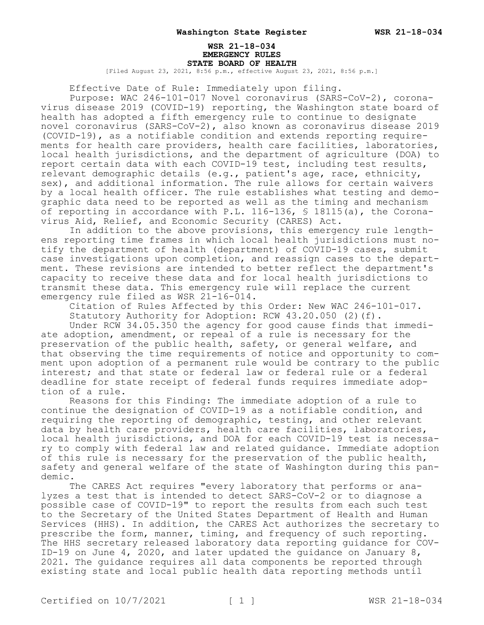### **WSR 21-18-034 EMERGENCY RULES STATE BOARD OF HEALTH**

[Filed August 23, 2021, 8:56 p.m., effective August 23, 2021, 8:56 p.m.]

Effective Date of Rule: Immediately upon filing.

Purpose: WAC 246-101-017 Novel coronavirus (SARS-CoV-2), coronavirus disease 2019 (COVID-19) reporting, the Washington state board of health has adopted a fifth emergency rule to continue to designate novel coronavirus (SARS-CoV-2), also known as coronavirus disease 2019 (COVID-19), as a notifiable condition and extends reporting requirements for health care providers, health care facilities, laboratories, local health jurisdictions, and the department of agriculture (DOA) to report certain data with each COVID-19 test, including test results, relevant demographic details (e.g., patient's age, race, ethnicity, sex), and additional information. The rule allows for certain waivers by a local health officer. The rule establishes what testing and demographic data need to be reported as well as the timing and mechanism of reporting in accordance with P.L. 116-136, § 18115(a), the Coronavirus Aid, Relief, and Economic Security (CARES) Act.

In addition to the above provisions, this emergency rule lengthens reporting time frames in which local health jurisdictions must notify the department of health (department) of COVID-19 cases, submit case investigations upon completion, and reassign cases to the department. These revisions are intended to better reflect the department's capacity to receive these data and for local health jurisdictions to transmit these data. This emergency rule will replace the current emergency rule filed as WSR 21-16-014.

Citation of Rules Affected by this Order: New WAC 246-101-017.

Statutory Authority for Adoption: RCW 43.20.050 (2)(f). Under RCW 34.05.350 the agency for good cause finds that immediate adoption, amendment, or repeal of a rule is necessary for the preservation of the public health, safety, or general welfare, and that observing the time requirements of notice and opportunity to comment upon adoption of a permanent rule would be contrary to the public interest; and that state or federal law or federal rule or a federal deadline for state receipt of federal funds requires immediate adoption of a rule.

Reasons for this Finding: The immediate adoption of a rule to continue the designation of COVID-19 as a notifiable condition, and requiring the reporting of demographic, testing, and other relevant data by health care providers, health care facilities, laboratories, local health jurisdictions, and DOA for each COVID-19 test is necessary to comply with federal law and related guidance. Immediate adoption of this rule is necessary for the preservation of the public health, safety and general welfare of the state of Washington during this pandemic.

The CARES Act requires "every laboratory that performs or analyzes a test that is intended to detect SARS-CoV-2 or to diagnose a possible case of COVID-19" to report the results from each such test to the Secretary of the United States Department of Health and Human Services (HHS). In addition, the CARES Act authorizes the secretary to prescribe the form, manner, timing, and frequency of such reporting. The HHS secretary released laboratory data reporting guidance for COV-ID-19 on June 4, 2020, and later updated the guidance on January 8, 2021. The guidance requires all data components be reported through existing state and local public health data reporting methods until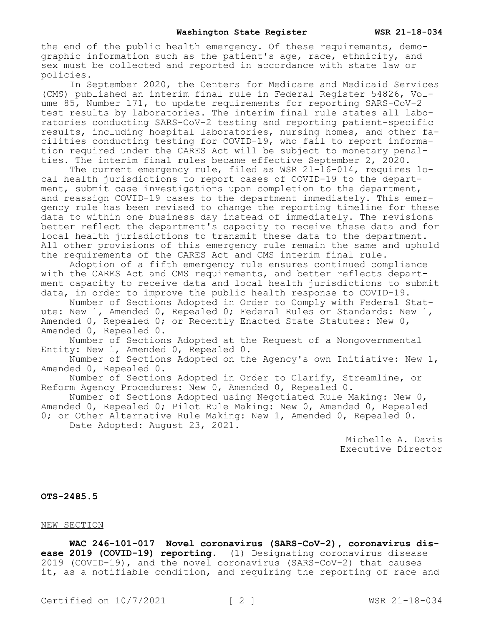the end of the public health emergency. Of these requirements, demographic information such as the patient's age, race, ethnicity, and sex must be collected and reported in accordance with state law or policies.

In September 2020, the Centers for Medicare and Medicaid Services (CMS) published an interim final rule in Federal Register 54826, Volume 85, Number 171, to update requirements for reporting SARS-CoV-2 test results by laboratories. The interim final rule states all laboratories conducting SARS-CoV-2 testing and reporting patient-specific results, including hospital laboratories, nursing homes, and other facilities conducting testing for COVID-19, who fail to report information required under the CARES Act will be subject to monetary penalties. The interim final rules became effective September 2, 2020.

The current emergency rule, filed as WSR 21-16-014, requires local health jurisdictions to report cases of COVID-19 to the department, submit case investigations upon completion to the department, and reassign COVID-19 cases to the department immediately. This emergency rule has been revised to change the reporting timeline for these data to within one business day instead of immediately. The revisions better reflect the department's capacity to receive these data and for local health jurisdictions to transmit these data to the department. All other provisions of this emergency rule remain the same and uphold the requirements of the CARES Act and CMS interim final rule.

Adoption of a fifth emergency rule ensures continued compliance with the CARES Act and CMS requirements, and better reflects department capacity to receive data and local health jurisdictions to submit data, in order to improve the public health response to COVID-19.

Number of Sections Adopted in Order to Comply with Federal Statute: New 1, Amended 0, Repealed 0; Federal Rules or Standards: New 1, Amended 0, Repealed 0; or Recently Enacted State Statutes: New 0, Amended 0, Repealed 0.

Number of Sections Adopted at the Request of a Nongovernmental Entity: New 1, Amended 0, Repealed 0.

Number of Sections Adopted on the Agency's own Initiative: New 1, Amended 0, Repealed 0.

Number of Sections Adopted in Order to Clarify, Streamline, or Reform Agency Procedures: New 0, Amended 0, Repealed 0.

Number of Sections Adopted using Negotiated Rule Making: New 0, Amended 0, Repealed 0; Pilot Rule Making: New 0, Amended 0, Repealed 0; or Other Alternative Rule Making: New 1, Amended 0, Repealed 0.

Date Adopted: August 23, 2021.

Michelle A. Davis Executive Director

**OTS-2485.5**

### NEW SECTION

**WAC 246-101-017 Novel coronavirus (SARS-CoV-2), coronavirus disease 2019 (COVID-19) reporting.** (1) Designating coronavirus disease 2019 (COVID-19), and the novel coronavirus (SARS-CoV-2) that causes it, as a notifiable condition, and requiring the reporting of race and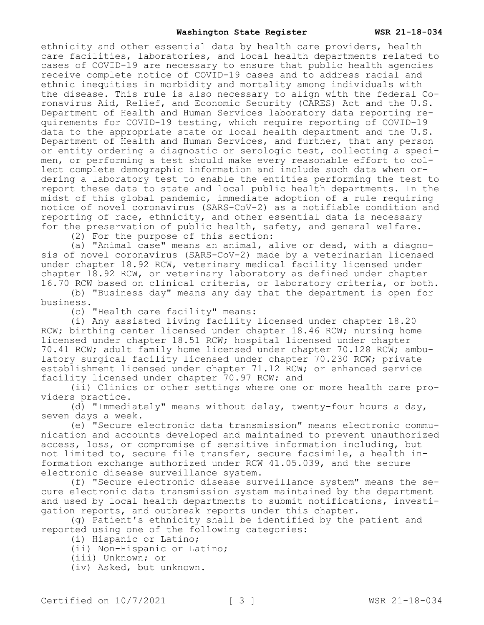ethnicity and other essential data by health care providers, health care facilities, laboratories, and local health departments related to cases of COVID-19 are necessary to ensure that public health agencies receive complete notice of COVID-19 cases and to address racial and ethnic inequities in morbidity and mortality among individuals with the disease. This rule is also necessary to align with the federal Coronavirus Aid, Relief, and Economic Security (CARES) Act and the U.S. Department of Health and Human Services laboratory data reporting requirements for COVID-19 testing, which require reporting of COVID-19 data to the appropriate state or local health department and the U.S. Department of Health and Human Services, and further, that any person or entity ordering a diagnostic or serologic test, collecting a specimen, or performing a test should make every reasonable effort to collect complete demographic information and include such data when ordering a laboratory test to enable the entities performing the test to report these data to state and local public health departments. In the midst of this global pandemic, immediate adoption of a rule requiring notice of novel coronavirus (SARS-CoV-2) as a notifiable condition and reporting of race, ethnicity, and other essential data is necessary for the preservation of public health, safety, and general welfare.

(2) For the purpose of this section:

(a) "Animal case" means an animal, alive or dead, with a diagnosis of novel coronavirus (SARS-CoV-2) made by a veterinarian licensed under chapter 18.92 RCW, veterinary medical facility licensed under chapter 18.92 RCW, or veterinary laboratory as defined under chapter 16.70 RCW based on clinical criteria, or laboratory criteria, or both.

(b) "Business day" means any day that the department is open for business.

(c) "Health care facility" means:

(i) Any assisted living facility licensed under chapter 18.20 RCW; birthing center licensed under chapter 18.46 RCW; nursing home licensed under chapter 18.51 RCW; hospital licensed under chapter 70.41 RCW; adult family home licensed under chapter 70.128 RCW; ambulatory surgical facility licensed under chapter 70.230 RCW; private establishment licensed under chapter 71.12 RCW; or enhanced service facility licensed under chapter 70.97 RCW; and

(ii) Clinics or other settings where one or more health care providers practice.

(d) "Immediately" means without delay, twenty-four hours a day, seven days a week.

(e) "Secure electronic data transmission" means electronic communication and accounts developed and maintained to prevent unauthorized access, loss, or compromise of sensitive information including, but not limited to, secure file transfer, secure facsimile, a health information exchange authorized under RCW 41.05.039, and the secure electronic disease surveillance system.

(f) "Secure electronic disease surveillance system" means the secure electronic data transmission system maintained by the department and used by local health departments to submit notifications, investigation reports, and outbreak reports under this chapter.

(g) Patient's ethnicity shall be identified by the patient and reported using one of the following categories:

(i) Hispanic or Latino;

(ii) Non-Hispanic or Latino;

(iii) Unknown; or

(iv) Asked, but unknown.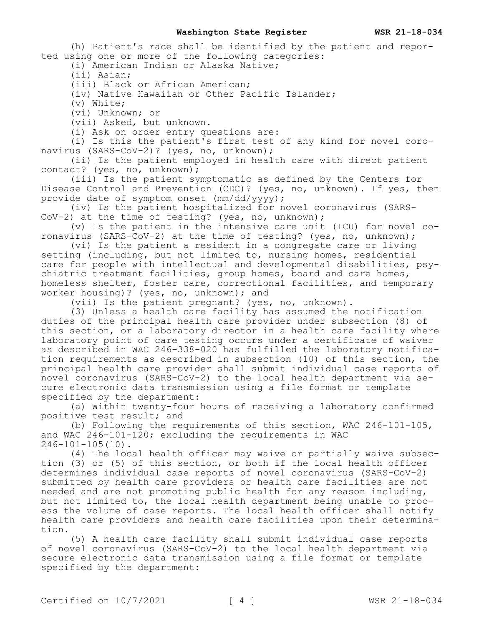(h) Patient's race shall be identified by the patient and reported using one or more of the following categories:

(i) American Indian or Alaska Native;

(ii) Asian;

(iii) Black or African American;

(iv) Native Hawaiian or Other Pacific Islander;

(v) White;

(vi) Unknown; or

(vii) Asked, but unknown.

(i) Ask on order entry questions are:

(i) Is this the patient's first test of any kind for novel coronavirus (SARS-CoV-2)? (yes, no, unknown);

(ii) Is the patient employed in health care with direct patient contact? (yes, no, unknown);

(iii) Is the patient symptomatic as defined by the Centers for Disease Control and Prevention (CDC)? (yes, no, unknown). If yes, then provide date of symptom onset (mm/dd/yyyy);

(iv) Is the patient hospitalized for novel coronavirus (SARS-CoV-2) at the time of testing? (yes, no, unknown);

(v) Is the patient in the intensive care unit (ICU) for novel coronavirus (SARS-CoV-2) at the time of testing? (yes, no, unknown);

(vi) Is the patient a resident in a congregate care or living setting (including, but not limited to, nursing homes, residential care for people with intellectual and developmental disabilities, psychiatric treatment facilities, group homes, board and care homes, homeless shelter, foster care, correctional facilities, and temporary worker housing)? (yes, no, unknown); and

(vii) Is the patient pregnant? (yes, no, unknown).

(3) Unless a health care facility has assumed the notification duties of the principal health care provider under subsection (8) of this section, or a laboratory director in a health care facility where laboratory point of care testing occurs under a certificate of waiver as described in WAC 246-338-020 has fulfilled the laboratory notification requirements as described in subsection (10) of this section, the principal health care provider shall submit individual case reports of novel coronavirus (SARS-CoV-2) to the local health department via secure electronic data transmission using a file format or template specified by the department:

(a) Within twenty-four hours of receiving a laboratory confirmed positive test result; and

(b) Following the requirements of this section, WAC 246-101-105, and WAC 246-101-120; excluding the requirements in WAC 246-101-105(10).

(4) The local health officer may waive or partially waive subsection (3) or (5) of this section, or both if the local health officer determines individual case reports of novel coronavirus (SARS-CoV-2) submitted by health care providers or health care facilities are not needed and are not promoting public health for any reason including, but not limited to, the local health department being unable to process the volume of case reports. The local health officer shall notify health care providers and health care facilities upon their determination.

(5) A health care facility shall submit individual case reports of novel coronavirus (SARS-CoV-2) to the local health department via secure electronic data transmission using a file format or template specified by the department: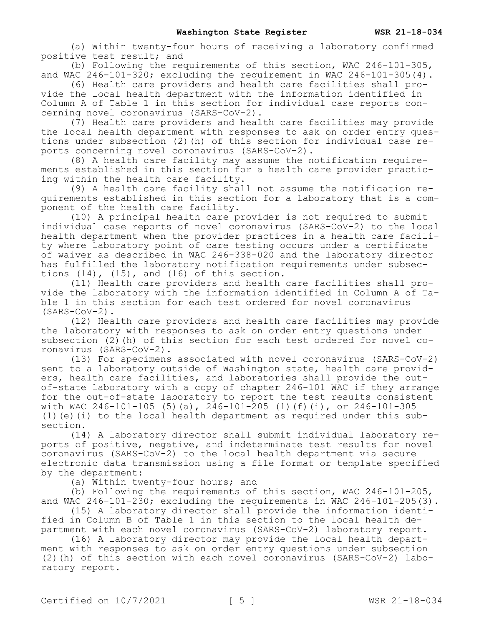(a) Within twenty-four hours of receiving a laboratory confirmed positive test result; and

(b) Following the requirements of this section, WAC 246-101-305, and WAC 246-101-320; excluding the requirement in WAC 246-101-305(4).

(6) Health care providers and health care facilities shall provide the local health department with the information identified in Column A of Table 1 in this section for individual case reports concerning novel coronavirus (SARS-CoV-2).

(7) Health care providers and health care facilities may provide the local health department with responses to ask on order entry questions under subsection (2)(h) of this section for individual case reports concerning novel coronavirus (SARS-CoV-2).

(8) A health care facility may assume the notification requirements established in this section for a health care provider practicing within the health care facility.

(9) A health care facility shall not assume the notification requirements established in this section for a laboratory that is a component of the health care facility.

(10) A principal health care provider is not required to submit individual case reports of novel coronavirus (SARS-CoV-2) to the local health department when the provider practices in a health care facility where laboratory point of care testing occurs under a certificate of waiver as described in WAC 246-338-020 and the laboratory director has fulfilled the laboratory notification requirements under subsections  $(14)$ ,  $(15)$ , and  $(16)$  of this section.

(11) Health care providers and health care facilities shall provide the laboratory with the information identified in Column A of Table 1 in this section for each test ordered for novel coronavirus (SARS-CoV-2).

(12) Health care providers and health care facilities may provide the laboratory with responses to ask on order entry questions under subsection (2)(h) of this section for each test ordered for novel coronavirus (SARS-CoV-2).

(13) For specimens associated with novel coronavirus (SARS-CoV-2) sent to a laboratory outside of Washington state, health care providers, health care facilities, and laboratories shall provide the outof-state laboratory with a copy of chapter 246-101 WAC if they arrange for the out-of-state laboratory to report the test results consistent with WAC  $246-101-105$  (5)(a),  $246-101-205$  (1)(f)(i), or  $246-101-305$ (1)(e)(i) to the local health department as required under this subsection.

(14) A laboratory director shall submit individual laboratory reports of positive, negative, and indeterminate test results for novel coronavirus (SARS-CoV-2) to the local health department via secure electronic data transmission using a file format or template specified by the department:

(a) Within twenty-four hours; and

(b) Following the requirements of this section, WAC 246-101-205, and WAC  $246-101-230$ ; excluding the requirements in WAC  $246-101-205(3)$ .

(15) A laboratory director shall provide the information identified in Column B of Table 1 in this section to the local health department with each novel coronavirus (SARS-CoV-2) laboratory report.

(16) A laboratory director may provide the local health department with responses to ask on order entry questions under subsection (2)(h) of this section with each novel coronavirus (SARS-CoV-2) laboratory report.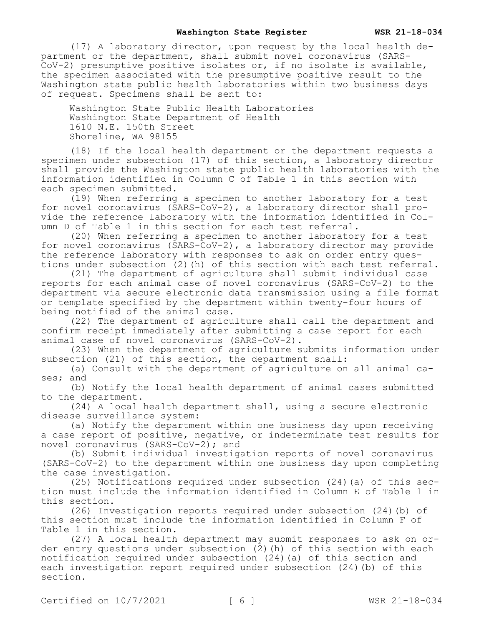(17) A laboratory director, upon request by the local health department or the department, shall submit novel coronavirus (SARS-CoV-2) presumptive positive isolates or, if no isolate is available, the specimen associated with the presumptive positive result to the Washington state public health laboratories within two business days of request. Specimens shall be sent to:

Washington State Public Health Laboratories Washington State Department of Health 1610 N.E. 150th Street Shoreline, WA 98155

(18) If the local health department or the department requests a specimen under subsection (17) of this section, a laboratory director shall provide the Washington state public health laboratories with the information identified in Column C of Table 1 in this section with each specimen submitted.

(19) When referring a specimen to another laboratory for a test for novel coronavirus (SARS-CoV-2), a laboratory director shall provide the reference laboratory with the information identified in Column D of Table 1 in this section for each test referral.

(20) When referring a specimen to another laboratory for a test for novel coronavirus (SARS-CoV-2), a laboratory director may provide the reference laboratory with responses to ask on order entry questions under subsection (2)(h) of this section with each test referral.

(21) The department of agriculture shall submit individual case reports for each animal case of novel coronavirus (SARS-CoV-2) to the department via secure electronic data transmission using a file format or template specified by the department within twenty-four hours of being notified of the animal case.

(22) The department of agriculture shall call the department and confirm receipt immediately after submitting a case report for each animal case of novel coronavirus (SARS-CoV-2).

(23) When the department of agriculture submits information under subsection (21) of this section, the department shall:

(a) Consult with the department of agriculture on all animal cases; and

(b) Notify the local health department of animal cases submitted to the department.

(24) A local health department shall, using a secure electronic disease surveillance system:

(a) Notify the department within one business day upon receiving a case report of positive, negative, or indeterminate test results for novel coronavirus (SARS-CoV-2); and

(b) Submit individual investigation reports of novel coronavirus (SARS-CoV-2) to the department within one business day upon completing the case investigation.

(25) Notifications required under subsection (24)(a) of this section must include the information identified in Column E of Table 1 in this section.

(26) Investigation reports required under subsection (24)(b) of this section must include the information identified in Column F of Table 1 in this section.

(27) A local health department may submit responses to ask on order entry questions under subsection (2)(h) of this section with each notification required under subsection (24)(a) of this section and each investigation report required under subsection (24)(b) of this section.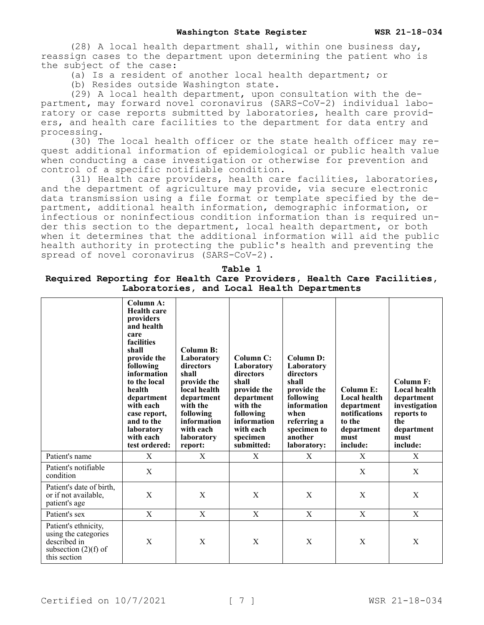(28) A local health department shall, within one business day, reassign cases to the department upon determining the patient who is the subject of the case:

(a) Is a resident of another local health department; or

(b) Resides outside Washington state.

(29) A local health department, upon consultation with the department, may forward novel coronavirus (SARS-CoV-2) individual laboratory or case reports submitted by laboratories, health care providers, and health care facilities to the department for data entry and processing.

(30) The local health officer or the state health officer may request additional information of epidemiological or public health value when conducting a case investigation or otherwise for prevention and control of a specific notifiable condition.

(31) Health care providers, health care facilities, laboratories, and the department of agriculture may provide, via secure electronic data transmission using a file format or template specified by the department, additional health information, demographic information, or infectious or noninfectious condition information than is required under this section to the department, local health department, or both when it determines that the additional information will aid the public health authority in protecting the public's health and preventing the spread of novel coronavirus (SARS-CoV-2).

|                                                                                                        | Column A:<br><b>Health care</b><br>providers<br>and health<br>care<br>facilities<br>shall<br>provide the<br>following<br>information<br>to the local<br>health<br>department<br>with each<br>case report,<br>and to the<br>laboratory<br>with each<br>test ordered: | Column B:<br>Laboratory<br>directors<br>shall<br>provide the<br>local health<br>department<br>with the<br>following<br>information<br>with each<br>laboratory<br>report: | Column C:<br>Laboratory<br>directors<br>shall<br>provide the<br>department<br>with the<br>following<br>information<br>with each<br>specimen<br>submitted: | Column D:<br>Laboratory<br>directors<br>shall<br>provide the<br>following<br>information<br>when<br>referring a<br>specimen to<br>another<br>laboratory: | Column E:<br>Local health<br>department<br>notifications<br>to the<br>department<br>must<br>include: | Column F:<br>Local health<br>department<br>investigation<br>reports to<br>the<br>department<br>must<br>include: |
|--------------------------------------------------------------------------------------------------------|---------------------------------------------------------------------------------------------------------------------------------------------------------------------------------------------------------------------------------------------------------------------|--------------------------------------------------------------------------------------------------------------------------------------------------------------------------|-----------------------------------------------------------------------------------------------------------------------------------------------------------|----------------------------------------------------------------------------------------------------------------------------------------------------------|------------------------------------------------------------------------------------------------------|-----------------------------------------------------------------------------------------------------------------|
| Patient's name                                                                                         | X                                                                                                                                                                                                                                                                   | X                                                                                                                                                                        | X                                                                                                                                                         | X                                                                                                                                                        | X                                                                                                    | X                                                                                                               |
| Patient's notifiable<br>condition                                                                      | $\mathbf X$                                                                                                                                                                                                                                                         |                                                                                                                                                                          |                                                                                                                                                           |                                                                                                                                                          | $\mathbf X$                                                                                          | X                                                                                                               |
| Patient's date of birth,<br>or if not available,<br>patient's age                                      | $\mathbf X$                                                                                                                                                                                                                                                         | $\mathbf X$                                                                                                                                                              | X                                                                                                                                                         | $\mathbf X$                                                                                                                                              | X                                                                                                    | X                                                                                                               |
| Patient's sex                                                                                          | $\mathbf X$                                                                                                                                                                                                                                                         | $\mathbf X$                                                                                                                                                              | $\mathbf X$                                                                                                                                               | $\mathbf X$                                                                                                                                              | $\mathbf X$                                                                                          | $\mathbf X$                                                                                                     |
| Patient's ethnicity,<br>using the categories<br>described in<br>subsection $(2)(f)$ of<br>this section | X                                                                                                                                                                                                                                                                   | $\mathbf X$                                                                                                                                                              | X                                                                                                                                                         | X                                                                                                                                                        | X                                                                                                    | X                                                                                                               |

**Table 1**

**Required Reporting for Health Care Providers, Health Care Facilities, Laboratories, and Local Health Departments**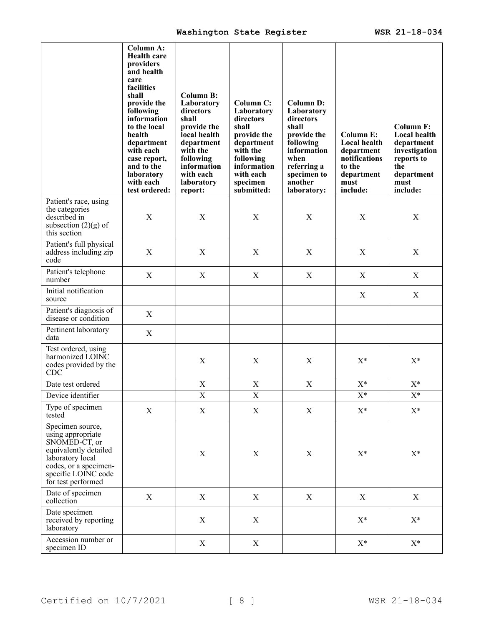|                                                                                                                                                                           | <b>Column A:</b><br><b>Health care</b><br>providers<br>and health<br>care<br>facilities<br>shall<br>provide the<br>following<br>information<br>to the local<br>health<br>department<br>with each<br>case report,<br>and to the<br>laboratory<br>with each<br>test ordered: | Column B:<br>Laboratory<br>directors<br>shall<br>provide the<br>local health<br>department<br>with the<br>following<br>information<br>with each<br>laboratory<br>report: | Column C:<br>Laboratory<br>directors<br>shall<br>provide the<br>department<br>with the<br>following<br>information<br>with each<br>specimen<br>submitted: | <b>Column D:</b><br>Laboratory<br>directors<br>shall<br>provide the<br>following<br>information<br>when<br>referring a<br>specimen to<br>another<br>laboratory: | <b>Column E:</b><br>Local health<br>department<br>notifications<br>to the<br>department<br>must<br>include: | <b>Column F:</b><br>Local health<br>department<br>investigation<br>reports to<br>the<br>department<br>must<br>include: |
|---------------------------------------------------------------------------------------------------------------------------------------------------------------------------|----------------------------------------------------------------------------------------------------------------------------------------------------------------------------------------------------------------------------------------------------------------------------|--------------------------------------------------------------------------------------------------------------------------------------------------------------------------|-----------------------------------------------------------------------------------------------------------------------------------------------------------|-----------------------------------------------------------------------------------------------------------------------------------------------------------------|-------------------------------------------------------------------------------------------------------------|------------------------------------------------------------------------------------------------------------------------|
| Patient's race, using<br>the categories<br>described in<br>subsection $(2)(g)$ of<br>this section                                                                         | X                                                                                                                                                                                                                                                                          | X                                                                                                                                                                        | X                                                                                                                                                         | X                                                                                                                                                               | X                                                                                                           | X                                                                                                                      |
| Patient's full physical<br>address including zip<br>code                                                                                                                  | $\mathbf X$                                                                                                                                                                                                                                                                | X                                                                                                                                                                        | X                                                                                                                                                         | X                                                                                                                                                               | X                                                                                                           | $\mathbf X$                                                                                                            |
| Patient's telephone<br>number                                                                                                                                             | $\mathbf X$                                                                                                                                                                                                                                                                | X                                                                                                                                                                        | X                                                                                                                                                         | X                                                                                                                                                               | X                                                                                                           | X                                                                                                                      |
| Initial notification<br>source                                                                                                                                            |                                                                                                                                                                                                                                                                            |                                                                                                                                                                          |                                                                                                                                                           |                                                                                                                                                                 | X                                                                                                           | $\mathbf X$                                                                                                            |
| Patient's diagnosis of<br>disease or condition                                                                                                                            | X                                                                                                                                                                                                                                                                          |                                                                                                                                                                          |                                                                                                                                                           |                                                                                                                                                                 |                                                                                                             |                                                                                                                        |
| Pertinent laboratory<br>data                                                                                                                                              | X                                                                                                                                                                                                                                                                          |                                                                                                                                                                          |                                                                                                                                                           |                                                                                                                                                                 |                                                                                                             |                                                                                                                        |
| Test ordered, using<br>harmonized LOINC<br>codes provided by the<br><b>CDC</b>                                                                                            |                                                                                                                                                                                                                                                                            | $\mathbf X$                                                                                                                                                              | $\mathbf X$                                                                                                                                               | $\mathbf X$                                                                                                                                                     | $X^*$                                                                                                       | $X^*$                                                                                                                  |
| Date test ordered                                                                                                                                                         |                                                                                                                                                                                                                                                                            | $\mathbf X$                                                                                                                                                              | $\mathbf X$                                                                                                                                               | $\mathbf X$                                                                                                                                                     | $X^*$                                                                                                       | $\mathbf{X}^*$                                                                                                         |
| Device identifier                                                                                                                                                         |                                                                                                                                                                                                                                                                            | $\mathbf X$                                                                                                                                                              | $\mathbf X$                                                                                                                                               |                                                                                                                                                                 | $\mathbf{X}^*$                                                                                              | $\mathbf{X}^*$                                                                                                         |
| Type of specimen<br>tested                                                                                                                                                | X                                                                                                                                                                                                                                                                          | X                                                                                                                                                                        | X                                                                                                                                                         | $\mathbf X$                                                                                                                                                     | $X^*$                                                                                                       | $X^*$                                                                                                                  |
| Specimen source,<br>using appropriate<br>SNOMED-CT, or<br>equivalently detailed<br>laboratory local<br>codes, or a specimen-<br>specific LOINC code<br>for test performed |                                                                                                                                                                                                                                                                            | $\mathbf X$                                                                                                                                                              | $\mathbf X$                                                                                                                                               | $\mathbf X$                                                                                                                                                     | $\mathbf{X}^*$                                                                                              | $\mathbf{X}^*$                                                                                                         |
| Date of specimen<br>collection                                                                                                                                            | X                                                                                                                                                                                                                                                                          | X                                                                                                                                                                        | X                                                                                                                                                         | X                                                                                                                                                               | X                                                                                                           | X                                                                                                                      |
| Date specimen<br>received by reporting<br>laboratory                                                                                                                      |                                                                                                                                                                                                                                                                            | X                                                                                                                                                                        | X                                                                                                                                                         |                                                                                                                                                                 | $\mathbf{X}^*$                                                                                              | $\mathbf{X}^*$                                                                                                         |
| Accession number or<br>specimen ID                                                                                                                                        |                                                                                                                                                                                                                                                                            | X                                                                                                                                                                        | X                                                                                                                                                         |                                                                                                                                                                 | $X^*$                                                                                                       | $\mathbf{X}^*$                                                                                                         |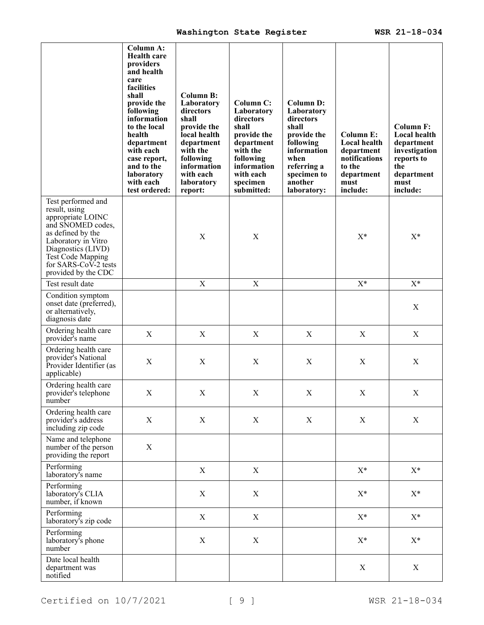|                                                                                                                                                                                                                     | <b>Column A:</b><br><b>Health care</b><br>providers<br>and health<br>care<br>facilities<br>shall<br>provide the<br>following<br>information<br>to the local<br>health<br>department<br>with each<br>case report,<br>and to the<br>laboratory<br>with each<br>test ordered: | <b>Column B:</b><br>Laboratory<br>directors<br>shall<br>provide the<br>local health<br>department<br>with the<br>following<br>information<br>with each<br>laboratory<br>report: | Column C:<br>Laboratory<br>directors<br>shall<br>provide the<br>department<br>with the<br>following<br>information<br>with each<br>specimen<br>submitted: | <b>Column D:</b><br>Laboratory<br>directors<br>shall<br>provide the<br>following<br>information<br>when<br>referring a<br>specimen to<br>another<br>laboratory: | <b>Column E:</b><br>Local health<br>department<br>notifications<br>to the<br>department<br>must<br>include: | <b>Column F:</b><br>Local health<br>department<br>investigation<br>reports to<br>the<br>department<br>must<br>include: |
|---------------------------------------------------------------------------------------------------------------------------------------------------------------------------------------------------------------------|----------------------------------------------------------------------------------------------------------------------------------------------------------------------------------------------------------------------------------------------------------------------------|---------------------------------------------------------------------------------------------------------------------------------------------------------------------------------|-----------------------------------------------------------------------------------------------------------------------------------------------------------|-----------------------------------------------------------------------------------------------------------------------------------------------------------------|-------------------------------------------------------------------------------------------------------------|------------------------------------------------------------------------------------------------------------------------|
| Test performed and<br>result, using<br>appropriate LOINC<br>and SNOMED codes,<br>as defined by the<br>Laboratory in Vitro<br>Diagnostics (LIVD)<br>Test Code Mapping<br>for SARS-CoV-2 tests<br>provided by the CDC |                                                                                                                                                                                                                                                                            | $\mathbf X$                                                                                                                                                                     | X                                                                                                                                                         |                                                                                                                                                                 | $X^*$                                                                                                       | $X^*$                                                                                                                  |
| Test result date                                                                                                                                                                                                    |                                                                                                                                                                                                                                                                            | $\mathbf X$                                                                                                                                                                     | $\mathbf X$                                                                                                                                               |                                                                                                                                                                 | $X^*$                                                                                                       | $X^*$                                                                                                                  |
| Condition symptom<br>onset date (preferred),<br>or alternatively,<br>diagnosis date                                                                                                                                 |                                                                                                                                                                                                                                                                            |                                                                                                                                                                                 |                                                                                                                                                           |                                                                                                                                                                 |                                                                                                             | $\mathbf X$                                                                                                            |
| Ordering health care<br>provider's name                                                                                                                                                                             | $\mathbf X$                                                                                                                                                                                                                                                                | $\mathbf X$                                                                                                                                                                     | X                                                                                                                                                         | X                                                                                                                                                               | $\mathbf X$                                                                                                 | $\mathbf X$                                                                                                            |
| Ordering health care<br>provider's National<br>Provider Identifier (as<br>applicable)                                                                                                                               | $\mathbf X$                                                                                                                                                                                                                                                                | $\mathbf X$                                                                                                                                                                     | $\mathbf X$                                                                                                                                               | X                                                                                                                                                               | $\mathbf X$                                                                                                 | $\mathbf X$                                                                                                            |
| Ordering health care<br>provider's telephone<br>number                                                                                                                                                              | $\mathbf X$                                                                                                                                                                                                                                                                | X                                                                                                                                                                               | X                                                                                                                                                         | X                                                                                                                                                               | X                                                                                                           | X                                                                                                                      |
| Ordering health care<br>provider's address<br>including zip code                                                                                                                                                    | $\mathbf X$                                                                                                                                                                                                                                                                | X                                                                                                                                                                               | X                                                                                                                                                         | X                                                                                                                                                               | X                                                                                                           | X                                                                                                                      |
| Name and telephone<br>number of the person<br>providing the report                                                                                                                                                  | $\mathbf X$                                                                                                                                                                                                                                                                |                                                                                                                                                                                 |                                                                                                                                                           |                                                                                                                                                                 |                                                                                                             |                                                                                                                        |
| Performing<br>laboratory's name                                                                                                                                                                                     |                                                                                                                                                                                                                                                                            | X                                                                                                                                                                               | X                                                                                                                                                         |                                                                                                                                                                 | $X^*$                                                                                                       | $X^*$                                                                                                                  |
| Performing<br>laboratory's CLIA<br>number, if known                                                                                                                                                                 |                                                                                                                                                                                                                                                                            | X                                                                                                                                                                               | X                                                                                                                                                         |                                                                                                                                                                 | $X^*$                                                                                                       | $X^*$                                                                                                                  |
| Performing<br>laboratory's zip code                                                                                                                                                                                 |                                                                                                                                                                                                                                                                            | $\mathbf X$                                                                                                                                                                     | X                                                                                                                                                         |                                                                                                                                                                 | $X^*$                                                                                                       | $X^*$                                                                                                                  |
| Performing<br>laboratory's phone<br>number                                                                                                                                                                          |                                                                                                                                                                                                                                                                            | $\mathbf X$                                                                                                                                                                     | X                                                                                                                                                         |                                                                                                                                                                 | $X^*$                                                                                                       | $\mathbf{X}^*$                                                                                                         |
| Date local health<br>department was<br>notified                                                                                                                                                                     |                                                                                                                                                                                                                                                                            |                                                                                                                                                                                 |                                                                                                                                                           |                                                                                                                                                                 | $\mathbf X$                                                                                                 | $\mathbf X$                                                                                                            |